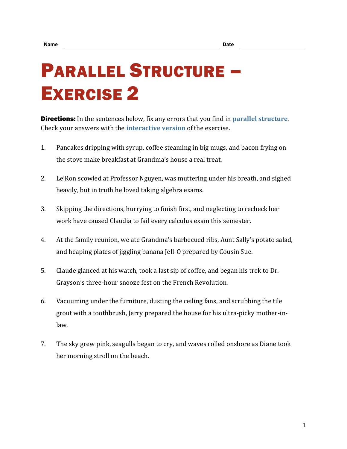## PARALLEL STRUCTURE – EXERCISE 2

Directions: In the sentences below, fix any errors that you find in **[parallel structure](https://chompchomp.com/terms/parallelstructure.htm)**. Check your answers with the **[interactive version](https://chompchomp.com/structure02/)** of the exercise.

- 1. Pancakes dripping with syrup, coffee steaming in big mugs, and bacon frying on the stove make breakfast at Grandma's house a real treat.
- 2. Le'Ron scowled at Professor Nguyen, was muttering under his breath, and sighed heavily, but in truth he loved taking algebra exams.
- 3. Skipping the directions, hurrying to finish first, and neglecting to recheck her work have caused Claudia to fail every calculus exam this semester.
- 4. At the family reunion, we ate Grandma's barbecued ribs, Aunt Sally's potato salad, and heaping plates of jiggling banana Jell-O prepared by Cousin Sue.
- 5. Claude glanced at his watch, took a last sip of coffee, and began his trek to Dr. Grayson's three-hour snooze fest on the French Revolution.
- 6. Vacuuming under the furniture, dusting the ceiling fans, and scrubbing the tile grout with a toothbrush, Jerry prepared the house for his ultra-picky mother-inlaw.
- 7. The sky grew pink, seagulls began to cry, and waves rolled onshore as Diane took her morning stroll on the beach.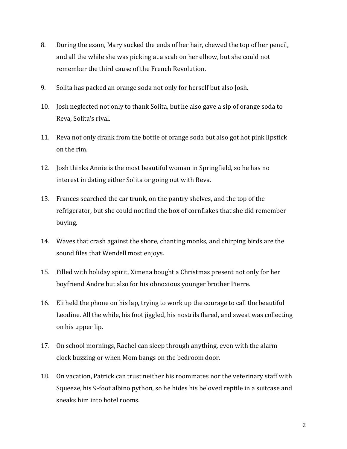- 8. During the exam, Mary sucked the ends of her hair, chewed the top of her pencil, and all the while she was picking at a scab on her elbow, but she could not remember the third cause of the French Revolution.
- 9. Solita has packed an orange soda not only for herself but also Josh.
- 10. Josh neglected not only to thank Solita, but he also gave a sip of orange soda to Reva, Solita's rival.
- 11. Reva not only drank from the bottle of orange soda but also got hot pink lipstick on the rim.
- 12. Josh thinks Annie is the most beautiful woman in Springfield, so he has no interest in dating either Solita or going out with Reva.
- 13. Frances searched the car trunk, on the pantry shelves, and the top of the refrigerator, but she could not find the box of cornflakes that she did remember buying.
- 14. Waves that crash against the shore, chanting monks, and chirping birds are the sound files that Wendell most enjoys.
- 15. Filled with holiday spirit, Ximena bought a Christmas present not only for her boyfriend Andre but also for his obnoxious younger brother Pierre.
- 16. Eli held the phone on his lap, trying to work up the courage to call the beautiful Leodine. All the while, his foot jiggled, his nostrils flared, and sweat was collecting on his upper lip.
- 17. On school mornings, Rachel can sleep through anything, even with the alarm clock buzzing or when Mom bangs on the bedroom door.
- 18. On vacation, Patrick can trust neither his roommates nor the veterinary staff with Squeeze, his 9-foot albino python, so he hides his beloved reptile in a suitcase and sneaks him into hotel rooms.